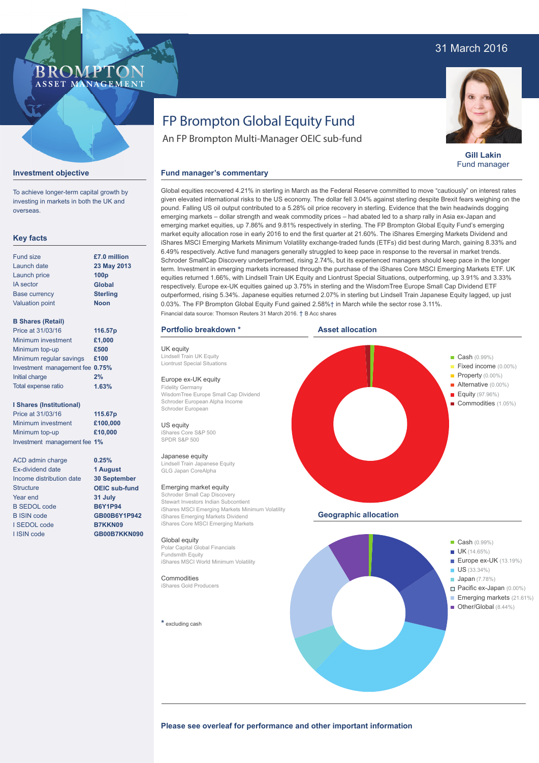### 31 March 2016

### **BROMPTO** ASSET MANAGEMENT

**Gill Lakin** Fund manager

#### **Investment objective**

To achieve longer-term capital growth by investing in markets in both the UK and overseas.

| <b>Fund size</b>       | £7.0 million     |
|------------------------|------------------|
| Launch date            | 23 May 2013      |
| Launch price           | 100 <sub>p</sub> |
| <b>IA</b> sector       | Global           |
| <b>Base currency</b>   | <b>Sterling</b>  |
| <b>Valuation point</b> | <b>Noon</b>      |
|                        |                  |
|                        |                  |

| <b>B Shares (Retail)</b> |  |
|--------------------------|--|
|                          |  |

**Key facts**

| Price at 31/03/16               | 116.57p |
|---------------------------------|---------|
| Minimum investment              | £1,000  |
| Minimum top-up                  | £500    |
| Minimum regular savings         | £100    |
| Investment management fee 0.75% |         |
| Initial charge                  | 2%      |
| Total expense ratio             | 1.63%   |

#### **I Shares (Institutional)**

Price at 31/03/16 Minimum investment Minimum top-up Investment management fee **1% 115.67p £100,000 £10,000**

> **0.25% 1 August 30 September OEIC sub-fund 31 July B6Y1P94 GB00B6Y1P942 B7KKN09 GB00B7KKN090**

ACD admin charge Ex-dividend date Income distribution date **Structure** Year end B SEDOL code B ISIN code I SEDOL code I ISIN code

# FP Brompton Global Equity Fund

An FP Brompton Multi-Manager OEIC sub-fund

#### **Fund manager's commentary**

Global equities recovered 4.21% in sterling in March as the Federal Reserve committed to move "cautiously" on interest rates given elevated international risks to the US economy. The dollar fell 3.04% against sterling despite Brexit fears weighing on the pound. Falling US oil output contributed to a 5.28% oil price recovery in sterling. Evidence that the twin headwinds dogging emerging markets – dollar strength and weak commodity prices – had abated led to a sharp rally in Asia ex-Japan and emerging market equities, up 7.86% and 9.81% respectively in sterling. The FP Brompton Global Equity Fund's emerging market equity allocation rose in early 2016 to end the first quarter at 21.60%. The iShares Emerging Markets Dividend and iShares MSCI Emerging Markets Minimum Volatility exchange-traded funds (ETFs) did best during March, gaining 8.33% and 6.49% respectively. Active fund managers generally struggled to keep pace in response to the reversal in market trends. Schroder SmallCap Discovery underperformed, rising 2.74%, but its experienced managers should keep pace in the longer term. Investment in emerging markets increased through the purchase of the iShares Core MSCI Emerging Markets ETF. UK equities returned 1.66%, with Lindsell Train UK Equity and Liontrust Special Situations, outperforming, up 3.91% and 3.33% respectively. Europe ex-UK equities gained up 3.75% in sterling and the WisdomTree Europe Small Cap Dividend ETF outperformed, rising 5.34%. Japanese equities returned 2.07% in sterling but Lindsell Train Japanese Equity lagged, up just 0.03%. The FP Brompton Global Equity Fund gained 2.58%† in March while the sector rose 3.11%. Financial data source: Thomson Reuters 31 March 2016. † B Acc shares

#### **Portfolio breakdown \***

UK equity

Lindsell Train UK Equity Liontrust Special Situations

#### Europe ex-UK equity

Fidelity Germany WisdomTree Europe Small Cap Dividend Schroder European Alpha Income Schroder European

US equity iShares Core S&P 500 SPDR S&P 500

#### Japanese equity

Lindsell Train Japanese Equity GLG Japan CoreAlpha

#### Emerging market equity

Schroder Small Cap Discovery Stewart Investors Indian Subcontient iShares MSCI Emerging Markets Minimum Volatility iShares Emerging Markets Dividend iShares Core MSCI Emerging Markets

#### Global equity

Polar Capital Global Financials Fundsmith Equity iShares MSCI World Minimum Volatility

### Commodities

iShares Gold Producers

**\*** excluding cash



Please see overleaf for performance and other important information